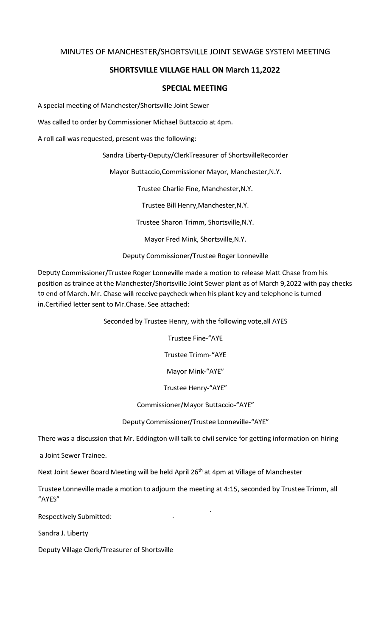## MINUTES OF MANCHESTER/SHORTSVILLE JOINT SEWAGE SYSTEM MEETING

# **SHORTSVILLE VILLAGE HALL ON March 11,2022**

#### **SPECIAL MEETING**

A special meeting of Manchester/Shortsville Joint Sewer

Was called to order by Commissioner Michael Buttaccio at 4pm.

A roll call was requested, present was the following:

Sandra Liberty-Deputy/ClerkTreasurer of ShortsvilleRecorder

Mayor Buttaccio,Commissioner Mayor, Manchester,N.Y.

Trustee Charlie Fine, Manchester,N.Y.

Trustee Bill Henry,Manchester,N.Y.

Trustee Sharon Trimm, Shortsville,N.Y.

Mayor Fred Mink, Shortsville,N.Y.

## Deputy Commissioner/Trustee Roger Lonneville

Deputy Commissioner/Trustee Roger Lonneville made a motion to release Matt Chase from his position as trainee at the Manchester/Shortsville Joint Sewer plant as of March 9,2022 with pay checks to end of March. Mr. Chase will receive paycheck when his plant key and telephone is turned in.Certified letter sent to Mr.Chase. See attached:

Seconded by Trustee Henry, with the following vote,all AYES

Trustee Fine-"AYE

Trustee Trimm-"AYE

Mayor Mink-"AYE"

Trustee Henry-"AYE"

## Commissioner/Mayor Buttaccio-"AYE"

Deputy Commissioner/Trustee Lonneville-"AYE"

There was a discussion that Mr. Eddington will talk to civil service for getting information on hiring

a Joint Sewer Trainee.

Next Joint Sewer Board Meeting will be held April 26<sup>th</sup> at 4pm at Village of Manchester

Trustee Lonneville made a motion to adjourn the meeting at 4:15, seconded by Trustee Trimm, all "AYES"

Respectively Submitted:

Sandra J. Liberty

Deputy Village Clerk/Treasurer of Shortsville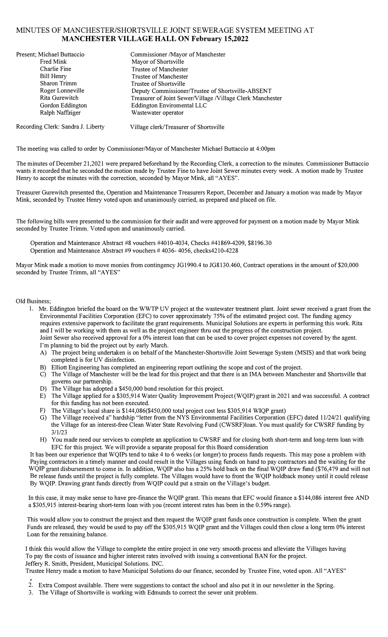#### MINUTES OF MANCHESTER/SHORTSVILLE JOINT SEWERAGE SYSTEM MEETING AT **MANCHESTER VILLAGE HALL ON February 15,2022**

| Present; Michael Buttaccio         | Commissioner /Mayor of Manchester                          |
|------------------------------------|------------------------------------------------------------|
| Fred Mink                          | Mayor of Shortsville                                       |
| Charlie Fine                       | Trustee of Manchester                                      |
| Bill Henry                         | Trustee of Manchester                                      |
| Sharon Trimm                       | Trustee of Shortsville                                     |
| Roger Lonneville                   | Deputy Commissioner/Trustee of Shortsville-ABSENT          |
| Rita Gurewitch                     | Treasurer of Joint Sewer/Village /Village Clerk Manchester |
| Gordon Eddington                   | Eddington Enviromental LLC                                 |
| Ralph Naffziger                    | Wastewater operator                                        |
| Recording Clerk: Sandra J. Liberty | Village clerk/Treasurer of Shortsville                     |

The meeting was called to order by Commissioner/Mayor of Manchester Michael Buttaccio at 4:00pm

The minutes of December 21,2021 were prepared beforehand by the Recording Clerk, a correction to the minutes. Commissioner Buttaccio wants it recorded that he seconded the motion made by Trustee Fine to have Joint Sewer minutes every week. A motion made by Trustee Henry to accept the minutes with the correction, seconded by Mayor Mink, all "AYES".

Treasurer Gurewitch presented the, Operation and Maintenance Treasurers Report, December and January a motion was made by Mayor Mink, seconded by Trustee Henry voted upon and unanimously carried, as prepared and placed on file.

The following bills were presented to the commission for their audit and were approved for payment on a motion made by Mayor Mink seconded by Trustee Trimm. Voted upon and unanimously carried.

Operation and Maintenance Abstract #8 vouchers #4010-4034, Checks #41869-4209, \$8196.30 Operation and Maintenance Abstract #9 vouchers # 4036- 4056, checks4210-4228

Mayor Mink made a motion to move monies from contingency JG 1990.4 to JG8130.460, Contract operations in the amount of \$20,000 seconded by Trustee Trimm, all "AYES"

#### Old Business;

- 1. Mr. Eddington briefed the board on the WWTP UV project at the wastewater treatment plant. Joint sewer received a grant from the Environmental Facilities Corporation (EFC) to cover approximately 75% of the estimated project cost. The funding agency requires extensive paperwork to facilitate the grant requirements. Municipal Solutions are experts in performing this work. Rita and I will be working with them as well as the project engineer thru out the progress of the construction project. Joint Sewer also received approval for a 0% interest loan that can be used to cover project expenses not covered by the agent. I'm planning to bid the project out by early March.
	- A) The project being undertaken is on behalf of the Manchester-Shortsville Joint Sewerage System (MSIS) and that work being completed is for UV disinfection.
	- B) Elliott Engineering has completed an engineering report outlining the scope and cost of the project.
	- C) The Village of Manchester will be the lead for this project and that there is an IMA between Manchester and Shortsville that governs our partnership.
	- D) The Village has adopted a \$450,000 bond resolution for this project.
	- E) The Village applied for a \$305,914 Water Quality Improvement Project (WQIP) grant in 2021 and was successful. A contract for this funding has not been executed.
	- F) The Village's local share is \$144,086(\$450,000 total project cost less \$305,914 WIQP grant)
	- G) The Village received a" hardship "letter from the NYS Environmental Facilities Corporation (EFC) dated 11/24/21 qualifying the Village for an interest-free Clean Water State Revolving Fund (CWSRF)loan. You must qualify for CWSRF funding by 3/1/23
	- H) You made need our services to complete an application to CWSRF and for closing both short-term and long-term loan with EFC for this project. We will provide a separate proposal for this Board consideration

It has been our experience that WQIPs tend to take 4 to 6 weeks (or longer) to process funds requests. This may pose a problem with Paying contractors in a timely manner and could result in the Villages using funds on hand to pay contractors and the waiting for the WQIP grant disbursement to come in. In addition, WQIP also has a 25% hold back on the final WQIP draw fund (\$76,479 and will not Be release funds until the project is fully complete. The Villages would have to front the WQIP holdback money until it could release By WQIP. Drawing grant funds directly from WQIP could put a strain on the Village's budget.

In this case, it may make sense to have pre-finance the WQIP grant. This means that EFC would finance a \$144,086 interest free AND a \$305,915 interest-bearing short-term loan with you (recent interest rates has been in the 0.59% range).

This would allow you to construct the project and then request the WQIP grant funds once construction is complete. When the grant Funds are released, they would be used to pay off the \$305,915 WQIP grant and the Villages could then close a long term 0% interest Loan for the remaining balance.

I think this would allow the Village to complete the entire project in one very smooth process and alleviate the Villages having To pay the costs of issuance and higher interest rates involved with issuing a conventional BAN for the project. Jeffery R. Smith, President, Municipal Solutions. INC.

Trustee Henry made a motion to have Municipal Solutions do our finance, seconded by Trustee Fine, voted upon. All "A YES"

- 2. Extra Compost available. There were suggestions to contact the school and also put it in our newsletter in the Spring.
- 3. The Village of Shortsville is working with Edmunds to correct the sewer unit problem.